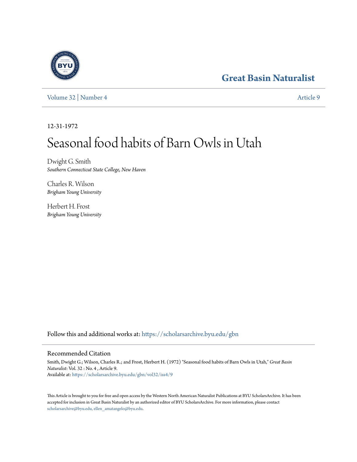## **[Great Basin Naturalist](https://scholarsarchive.byu.edu/gbn?utm_source=scholarsarchive.byu.edu%2Fgbn%2Fvol32%2Fiss4%2F9&utm_medium=PDF&utm_campaign=PDFCoverPages)**

[Volume 32](https://scholarsarchive.byu.edu/gbn/vol32?utm_source=scholarsarchive.byu.edu%2Fgbn%2Fvol32%2Fiss4%2F9&utm_medium=PDF&utm_campaign=PDFCoverPages) | [Number 4](https://scholarsarchive.byu.edu/gbn/vol32/iss4?utm_source=scholarsarchive.byu.edu%2Fgbn%2Fvol32%2Fiss4%2F9&utm_medium=PDF&utm_campaign=PDFCoverPages) [Article 9](https://scholarsarchive.byu.edu/gbn/vol32/iss4/9?utm_source=scholarsarchive.byu.edu%2Fgbn%2Fvol32%2Fiss4%2F9&utm_medium=PDF&utm_campaign=PDFCoverPages)

12-31-1972

# Seasonal food habits of Barn Owls in Utah

Dwight G. Smith *Southern Connecticut State College, New Haven*

Charles R. Wilson *Brigham Young University*

Herbert H. Frost *Brigham Young University*

Follow this and additional works at: [https://scholarsarchive.byu.edu/gbn](https://scholarsarchive.byu.edu/gbn?utm_source=scholarsarchive.byu.edu%2Fgbn%2Fvol32%2Fiss4%2F9&utm_medium=PDF&utm_campaign=PDFCoverPages)

### Recommended Citation

Smith, Dwight G.; Wilson, Charles R.; and Frost, Herbert H. (1972) "Seasonal food habits of Barn Owls in Utah," *Great Basin Naturalist*: Vol. 32 : No. 4 , Article 9. Available at: [https://scholarsarchive.byu.edu/gbn/vol32/iss4/9](https://scholarsarchive.byu.edu/gbn/vol32/iss4/9?utm_source=scholarsarchive.byu.edu%2Fgbn%2Fvol32%2Fiss4%2F9&utm_medium=PDF&utm_campaign=PDFCoverPages)

This Article is brought to you for free and open access by the Western North American Naturalist Publications at BYU ScholarsArchive. It has been accepted for inclusion in Great Basin Naturalist by an authorized editor of BYU ScholarsArchive. For more information, please contact [scholarsarchive@byu.edu, ellen\\_amatangelo@byu.edu.](mailto:scholarsarchive@byu.edu,%20ellen_amatangelo@byu.edu)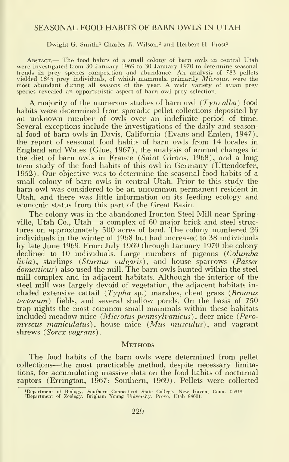#### SEASONAL FOOD HABITS OF BARN OWLS IN UTAH

Dwight G. Smith,<sup>1</sup> Charles R. Wilson,<sup>2</sup> and Herbert H. Frost<sup>2</sup>

Abstact.— The food habits of <sup>a</sup> small colony of barn owls in central Utah were investigated from 30 January 1969 to 30 January 1970 to determine seasonal trends in prey species composition and abundance. An analysis of 783 pellets yielded 1845 prey individuals, of which mammals, primarily *Microtus*, were the most abundant during all seasons of the year. A wide variety of avian prey species revealed an opportunistic aspect of barn owl prey selection

A majority of the numerous studies of barn owl  $(Tyto alba)$  food habits were determined from sporadic pellet collections deposited by an unknown number of owls over an indefinite period of time. Several exceptions include the investigations of the daily and seasonal food of barn owls in Davis, California (Evans and Emlen, 1947), the report of seasonal food habits of barn owls from 14 locales in England and Wales (Glue, 1967), the analysis of annual changes in the diet of barn owls in France (Saint Girons, 1968), and a long term study of the food habits of this owl in Germany (Uttendorfer, 1952). Our objective was to determine the seasonal food habits of a small colony of barn owls in central Utah. Prior to this study the barn owl was considered to be an uncommon permanent resident in Utah, and there was little information on its feeding ecology and economic status from this part of the Great Basin.

The colony was in the abandoned Ironton Steel Mill near Springville, Utah Co., Utah—a complex of 60 major brick and steel structures on approximately 500 acres of land. The colony numbered 26 individuals in the winter of 1968 but had increased to 38 individuals by late June 1969. From July 1969 through January 1970 the colony declined to 10 individuals. Large numbers of pigeons (Columba livia), starlings (Sturnus vulgaris), and house sparrows (Passer domesticus) also used the mill. The barn owls hunted within the steel mill complex and in adjacent habitats. Although the interior of the steel mill was largely devoid of vegetation, the adjacent habitats included extensive cattail {Typha sp.) marshes, cheat grass (Bromus tectorum) fields, and several shallow ponds. On the basis of 750 trap nights the most common small mammals within these habitats included meadow mice {Microtus pennsylvanicus) , deer mice (Pero myscus maniculatus), house mice (Mus musculus), and vagrant shrews (Sorex vagrans).

#### **METHODS**

The food habits of the barn owls were determined from pellet collections—the most practicable method, despite necessary limitations, for accumulating massive data on the food habits of nocturnal raptors (Errington, 1967; Southern, 1969). Pellets were collected

<sup>&#</sup>x27;Department of Biology, Southern Connecticut State College, New Haven, Conn. 06515. ---<br>"Department of Zoology. Brigham Young University, Provo, Utah 84601.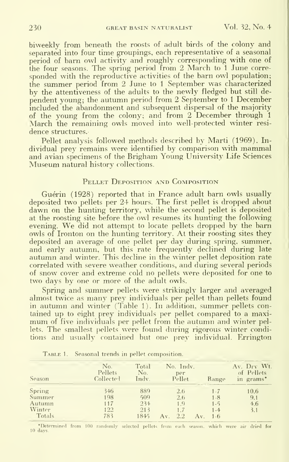biweekly from beneath the roosts of adult birds of the colony and separated into four time groupings, each representative of a seasonal period of barn owl activity and roughly corresponding with one of the four seasons. The spring period from  $2$  March to  $1$  June corresponded with the reproductive activities of the barn owl population; the summer period from 2 June to <sup>1</sup> September was characterized by the attentiveness of the adults to the newly fledged but still de pendent young; the autumn period from 2 September to <sup>1</sup> December included the abandonment and subsequent dispersal of the majority of the young from the colony; and from 2 December through <sup>1</sup> March the remaining owls moved into well-protected winter resi dence structures.

Pellet analysis followed methods described by Marti (1969). In dividual prey remains were identified by comparison with mammal and avian specimens of the Brigham Young University Life Sciences Museum natural history collections.

#### PELLET DEPOSITION AND COMPOSITION

Guérin (1928) reported that in France adult barn owls usually deposited two pellets per 24 hours. The first pellet is dropped about dawn on the hunting territory, while the second pellet is deposited at the roosting site before the owl resumes its hunting the following evening. We did not attempt to locate pellets dropped by the bam owls of Ironton on the hunting territory. At their roosting sites they deposited an average of one pellet per day during spring, summer, and early autumn, but this rate frequently declined during late autumn and winter. This decline in the winter pellet deposition rate correlated with severe weather conditions, and during several periods of snow cover and extreme cold no pellets were deposited for one to two days by one or more of the adult owls.

Spring and summer pellets were strikingly larger and averaged almost twice as many prey individuals per pellet than pellets found in autumn and winter (Table 1). In addition, summer pellets con tained up to eight prey individuals per pellet compared to a maximum of five individuals per pellet from the autumn and winter pellets. The smallest pellets were found during rigorous winter conditions and usually contained but one prey individual. Errington

| Season | No.<br>Pellets<br>Collecte <sup>1</sup> | Total<br>No.<br>Indv. | No. Indv.<br>per<br>Pellet | Range   | Av. Dry Wt.<br>of Pellets<br>in grams <sup>*</sup> |
|--------|-----------------------------------------|-----------------------|----------------------------|---------|----------------------------------------------------|
| Spring | 346                                     | 889                   | 2.6                        | $1 - 7$ | 10.6                                               |
| Summer | 198                                     | 509                   | 2.6                        | $1 - 8$ | 9.1                                                |
| Autumn | 117                                     | $23 +$                | 1.9                        | $1 - 5$ | 4.6                                                |
| Winter | 122                                     | 213                   | 17                         | $1 - 4$ | 3.1                                                |
| Totals | 783                                     | 18.15                 | 2.2.                       | $1-6$   |                                                    |

Table 1. Seasonal trends in pellet composition.

\*Determined from 100 randomly selected pellets from each season, which were air dried for 10 days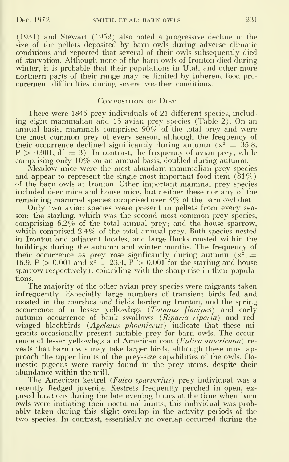(1931) and Stewart (1952) also noted a progressive decline in the size of the pellets deposited by barn owls during adverse climatic conditions and reported that several of their owls subsequently died of starvation. Although none of the barn owls of fronton died during winter, it is probable that their populations in Utah and other more northern parts of their range may be limited by inherent food pro curement difficulties during severe weather conditions.

#### COMPOSITION OF DIET

There were 1845 prey individuals of 21 different species, includ ing eight mammalian and 13 avian prey species (Table 2). On an annual basis, mammals comprised  $90\%$  of the total prey and were the most common prey of every season, although the frequency of their occurrence declined significantly during autumn  $(x^2 = 35.8,$  $P > 0.001$ ,  $df = 3$ ). In contrast, the frequency of avian prey, while comprising only 10% on an annual basis, doubled during autumn. Meadow mice were the most abundant mammalian prey species

and appear to represent the single most important food item  $(81\%)$ of the barn owls at fronton. Other important mammal prey species included deer mice and house mice, but neither these nor any of the remaining mammal species comprised over 3% of the barn owl diet. Only two avian species were present in pellets from every sea-

son: the starling, which was the second most common prey species, comprising 6.2% of the total annual prey; and the house sparrow, which comprised 2.4% of the total annual prey. Both species nested in fronton and adjacent locales, and large flocks roosted within the buildings during the autumn and winter months. The frequency of their occurrence as prey rose signficantly during autumn  $(x^2)$ 16.9,  $P > 0.001$  and  $x^2 = 23.4$ ,  $P > 0.001$  for the starling and house sparrow respectively), coinciding with the sharp rise in their populations.

The majority of the other avian prey species were migrants taken infrequently. Especially large numbers of transient birds fed and roosted in the marshes and fields bordering fronton, and the spring occurrence of a lesser yellowlegs (*Totanus flavipes*) and early autumn occurrence of bank swallows (*Riparia riparia*) and redwinged blackbirds (Agelaius phoeniceus) indicate that these migrants occasionally present suitable prey for barn owls. The occur rence of lesser yellowlegs and American coot (*Fulica americana*) reveals that barn owls may take larger birds, although these must ap proach the upper limits of the prey-size capabilities of the owls. Domestic pigeons were rarely found in the prey items, despite their abundance within the mill.

The American kestrel (Falco sparverius) prey individual was a recently fledged juvenile. Kestrels frequently perched in open, ex posed locations during the late evening hours at the time when barn owls were initiating their nocturnal hunts; this individual was probably taken during this slight overlap in the activity periods of the two species. In contrast, essentially no overlap occurred during the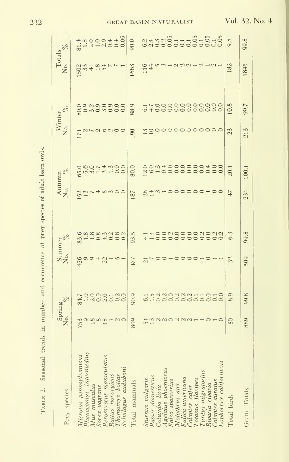| Prey species            |        | $\mathop{\mathrm{Spin}}\nolimits^g_\phi$ No. | $\begin{array}{c} \text{Summary} \\ \text{No.} \\ \end{array}$ | $\frac{9}{6}$ | ż.              | $\frac{6}{6}$<br>Autumn                                    | $\frac{\text{Winter}}{\text{No.}}$    | $\frac{6}{6}$         | Totals<br>$\frac{6}{2}$ | $\frac{6}{6}$                  |
|-------------------------|--------|----------------------------------------------|----------------------------------------------------------------|---------------|-----------------|------------------------------------------------------------|---------------------------------------|-----------------------|-------------------------|--------------------------------|
| Microtus pennsylvanicus |        |                                              |                                                                |               |                 |                                                            |                                       |                       |                         |                                |
| Phenacomys intermedus   |        | 20000-2000<br>5-0000000                      | $\frac{6}{4}$                                                  |               | $\frac{52}{13}$ | 00014300<br>80014300                                       |                                       | ogagogogo<br>Gomomooo | $\frac{5}{3}$ 32        | $5 - 2000 + 1000$              |
| Mus musculus            |        |                                              |                                                                |               |                 |                                                            |                                       |                       |                         |                                |
| Sorex vagrans           |        |                                              |                                                                |               |                 |                                                            |                                       |                       |                         |                                |
| Peromyscus maniculatus  |        |                                              | $+81 - 10$                                                     |               |                 |                                                            |                                       |                       | $\frac{26}{5}$          |                                |
| Rattus norvegicus       |        |                                              |                                                                |               |                 |                                                            |                                       |                       |                         |                                |
| Thomomys bottae         |        |                                              |                                                                |               |                 |                                                            |                                       |                       |                         |                                |
| Sylvilagus audubon      |        |                                              |                                                                |               |                 |                                                            |                                       |                       |                         |                                |
| Total mammals           | 809    | 90.9                                         | 177                                                            | 93.5          | 187             | 80.0                                                       | 190                                   | 88.9                  | 1663                    | 90.0                           |
| Sturnus vulgaris        |        |                                              |                                                                |               |                 |                                                            |                                       |                       | 116                     |                                |
| Passer domesticus       |        |                                              |                                                                |               | $31 +$          |                                                            |                                       |                       | $\ddagger$              |                                |
| Columba livia           | 100000 | 59888885585                                  |                                                                |               |                 | a 0 m + 0 0 0 0 0 0 0 + 0 0<br>0 0 m + 0 0 0 0 0 0 0 0 0 0 |                                       |                       |                         | atnage-159-8-8<br>000000000000 |
| Agelaius phoeniceu.     |        |                                              |                                                                |               |                 |                                                            |                                       |                       |                         |                                |
| Falco sparverus         |        |                                              |                                                                |               |                 |                                                            |                                       |                       |                         |                                |
| Molothrus ater          |        |                                              |                                                                |               |                 |                                                            | $\circ\circ\circ\circ\circ\circ\circ$ |                       |                         |                                |
| Fulica americana        |        |                                              |                                                                |               |                 |                                                            |                                       |                       |                         |                                |
| Colaptes cafer          |        |                                              |                                                                |               |                 |                                                            |                                       |                       |                         |                                |
| Totanus flavipes        |        |                                              |                                                                |               |                 |                                                            |                                       |                       |                         |                                |
| Turdus migratorius      |        |                                              |                                                                |               |                 |                                                            |                                       |                       |                         |                                |
| Riparia riparia         |        |                                              |                                                                |               |                 |                                                            |                                       |                       |                         |                                |
| Colaptes auratus        |        |                                              |                                                                |               |                 |                                                            |                                       |                       |                         |                                |
| Lophortyx californicus  |        | $\overline{0}$ .                             |                                                                |               |                 |                                                            |                                       |                       |                         |                                |
| Total birds             | 80     | 8.9                                          | 32                                                             | 6.3           | $+7$            | 20.1                                                       | $\mathfrak{Z}$                        | 10.8                  | 182                     | 9.8                            |
| Grand Totals            | 889    | 99.8                                         | 509                                                            | 99.8          | 234             | 100.1                                                      | 213                                   | 99.7                  | 1845                    | 99.8                           |

232 GREAT BASIN NATURALIST Vol. 32, No. 4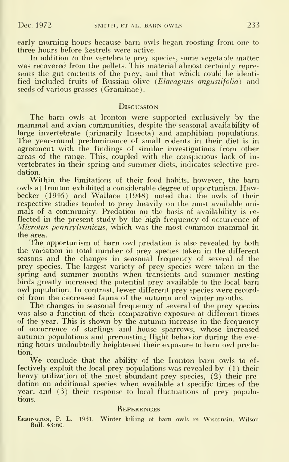early morning hours because barn owls began roosting from one to three hours before kestrels were active.

In addition to the vertebrate prey species, some vegetable matter was recovered from the pellets. This material almost certainly represents the gut contents of the prey, and that which could be identified included fruits of Russian olive (Elaeagnus angustifolia) and seeds of various grasses (Graminae).

#### **Discussion**

The barn owls at Ironton were supported exclusively by the mammal and avian communities, despite the seasonal availability of large invertebrate (primarily Insecta) and amphibian populations. The year-round predominance of small rodents in their diet is in agreement with the findings of similar investigations from other areas of the range. This, coupled with the conspicuous lack of in vertebrates in their spring and summer diets, indicates selective pre dation.

Within the limitations of their food habits, however, the barn owls at Ironton exhibited <sup>a</sup> considerable degree of opportunism. Hawbecker (1945) and Wallace (1948) noted that the owls of their respective studies tended to prey heavily on the most available ani mals of a community. Predation on the basis of availability is re flected in the present study by the high frequency of occurrence of Microtus pennsylvanicus, which was the most common mammal in the area.

The opportunism of barn owl predation is also revealed by both the variation in total number of prey species taken in the different seasons and the changes in seasonal frequency of several of the prey species. The largest variety of prey species were taken in the spring and summer months when transients and summer nesting birds greatly increased the potential prey available to the local barn owl population. In contrast, fewer different prey species were record ed from the decreased fauna of the autumn and winter months.

The changes in seasonal frequency of several of the prey species was also a function of their comparative exposure at different times of the year. This is shown by the autumn increase in the frequency of occurrence of starlings and house sparrows, whose increased autumn populations and preroosting flight behavior during the evening hours undoubtedly heightened their exposure to barn owl predation.<br>We conclude that the ability of the Ironton barn owls to ef-

fectively exploit the local prey populations was revealed by ( <sup>1</sup> ) their heavy utilization of the most abundant prey species, (2) their predation on additional species when available at specific times of the year, and (3) their response to local fluctuations of prey populations.

#### **REFERENCES**

ERRINGTON, P. L. 1931. Winter killing of barn owls in Wisconsin. Wilson Bull. 43:60.